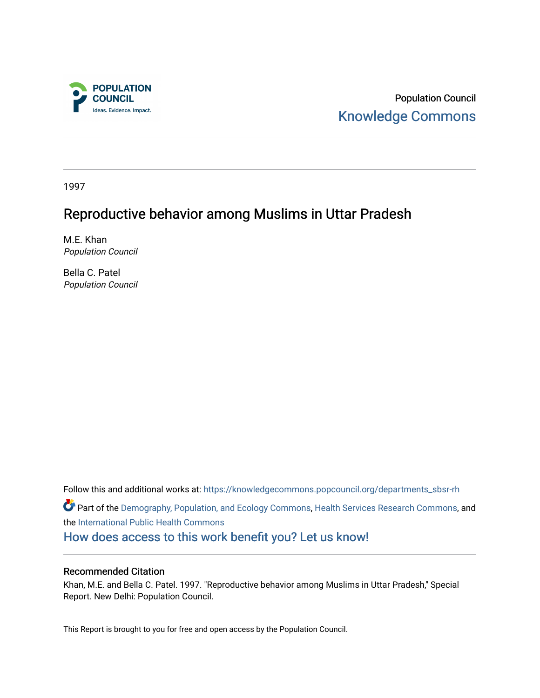

Population Council [Knowledge Commons](https://knowledgecommons.popcouncil.org/) 

1997

# Reproductive behavior among Muslims in Uttar Pradesh

M.E. Khan Population Council

Bella C. Patel Population Council

Follow this and additional works at: [https://knowledgecommons.popcouncil.org/departments\\_sbsr-rh](https://knowledgecommons.popcouncil.org/departments_sbsr-rh?utm_source=knowledgecommons.popcouncil.org%2Fdepartments_sbsr-rh%2F2040&utm_medium=PDF&utm_campaign=PDFCoverPages)  Part of the [Demography, Population, and Ecology Commons,](https://network.bepress.com/hgg/discipline/418?utm_source=knowledgecommons.popcouncil.org%2Fdepartments_sbsr-rh%2F2040&utm_medium=PDF&utm_campaign=PDFCoverPages) [Health Services Research Commons,](https://network.bepress.com/hgg/discipline/816?utm_source=knowledgecommons.popcouncil.org%2Fdepartments_sbsr-rh%2F2040&utm_medium=PDF&utm_campaign=PDFCoverPages) and the [International Public Health Commons](https://network.bepress.com/hgg/discipline/746?utm_source=knowledgecommons.popcouncil.org%2Fdepartments_sbsr-rh%2F2040&utm_medium=PDF&utm_campaign=PDFCoverPages)  [How does access to this work benefit you? Let us know!](https://pcouncil.wufoo.com/forms/open-access-to-population-council-research/)

#### Recommended Citation

Khan, M.E. and Bella C. Patel. 1997. "Reproductive behavior among Muslims in Uttar Pradesh," Special Report. New Delhi: Population Council.

This Report is brought to you for free and open access by the Population Council.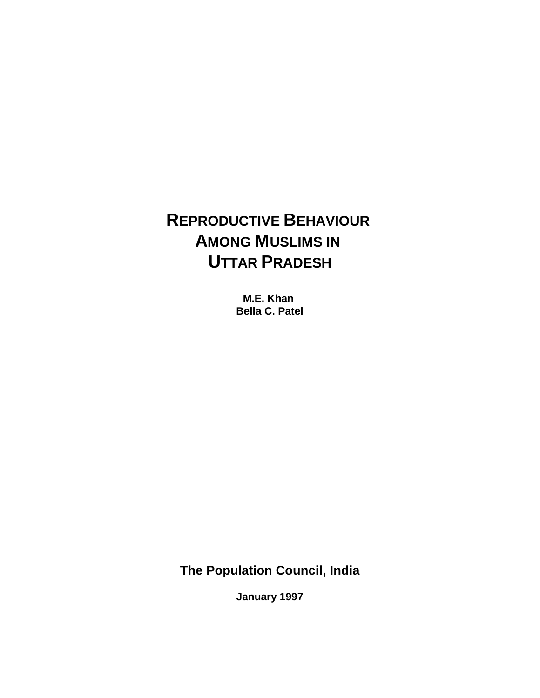# **REPRODUCTIVE BEHAVIOUR AMONG MUSLIMS IN UTTAR PRADESH**

**M.E. Khan Bella C. Patel**

**The Population Council, India**

**January 1997**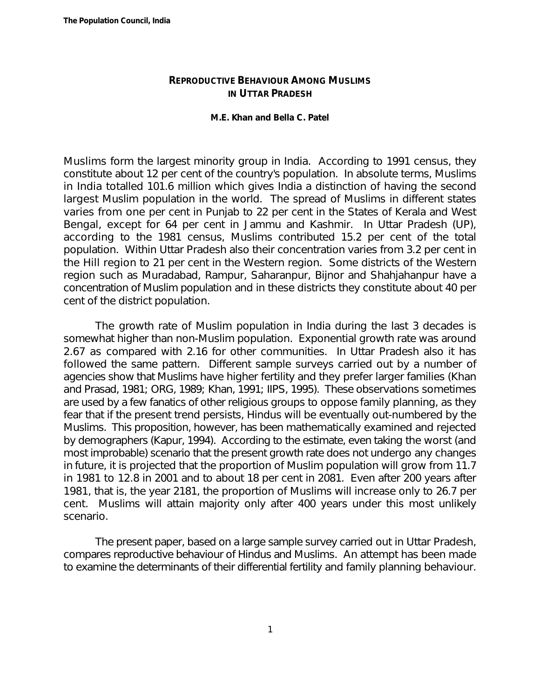## **REPRODUCTIVE BEHAVIOUR AMONG MUSLIMS IN UTTAR PRADESH**

#### *M.E. Khan and Bella C. Patel*

Muslims form the largest minority group in India. According to 1991 census, they constitute about 12 per cent of the country's population. In absolute terms, Muslims in India totalled 101.6 million which gives India a distinction of having the second largest Muslim population in the world. The spread of Muslims in different states varies from one per cent in Punjab to 22 per cent in the States of Kerala and West Bengal, except for 64 per cent in Jammu and Kashmir. In Uttar Pradesh (UP), according to the 1981 census, Muslims contributed 15.2 per cent of the total population. Within Uttar Pradesh also their concentration varies from 3.2 per cent in the Hill region to 21 per cent in the Western region. Some districts of the Western region such as Muradabad, Rampur, Saharanpur, Bijnor and Shahjahanpur have a concentration of Muslim population and in these districts they constitute about 40 per cent of the district population.

The growth rate of Muslim population in India during the last 3 decades is somewhat higher than non-Muslim population. Exponential growth rate was around 2.67 as compared with 2.16 for other communities. In Uttar Pradesh also it has followed the same pattern. Different sample surveys carried out by a number of agencies show that Muslims have higher fertility and they prefer larger families (Khan and Prasad, 1981; ORG, 1989; Khan, 1991; IIPS, 1995). These observations sometimes are used by a few fanatics of other religious groups to oppose family planning, as they fear that if the present trend persists, Hindus will be eventually out-numbered by the Muslims. This proposition, however, has been mathematically examined and rejected by demographers (Kapur, 1994). According to the estimate, even taking the worst (and most improbable) scenario that the present growth rate does not undergo any changes in future, it is projected that the proportion of Muslim population will grow from 11.7 in 1981 to 12.8 in 2001 and to about 18 per cent in 2081. Even after 200 years after 1981, that is, the year 2181, the proportion of Muslims will increase only to 26.7 per cent. Muslims will attain majority only after 400 years under this most unlikely scenario.

The present paper, based on a large sample survey carried out in Uttar Pradesh, compares reproductive behaviour of Hindus and Muslims. An attempt has been made to examine the determinants of their differential fertility and family planning behaviour.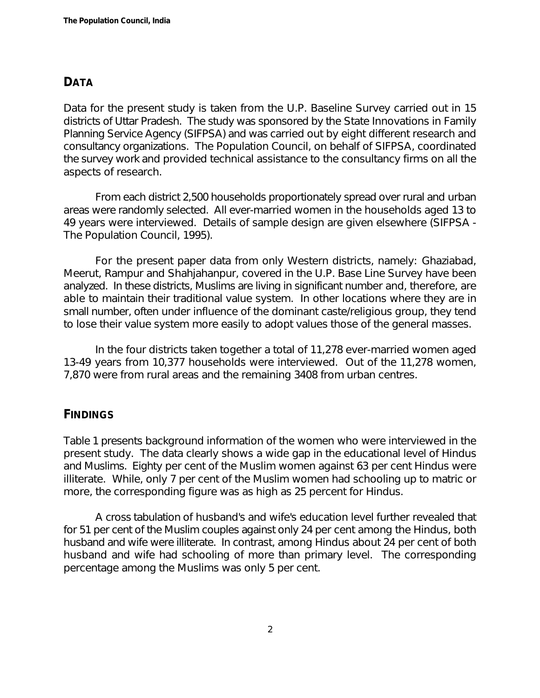# **DATA**

Data for the present study is taken from the U.P. Baseline Survey carried out in 15 districts of Uttar Pradesh. The study was sponsored by the State Innovations in Family Planning Service Agency (SIFPSA) and was carried out by eight different research and consultancy organizations. The Population Council, on behalf of SIFPSA, coordinated the survey work and provided technical assistance to the consultancy firms on all the aspects of research.

From each district 2,500 households proportionately spread over rural and urban areas were randomly selected. All ever-married women in the households aged 13 to 49 years were interviewed. Details of sample design are given elsewhere (SIFPSA - The Population Council, 1995).

For the present paper data from only Western districts, namely: Ghaziabad, Meerut, Rampur and Shahjahanpur, covered in the U.P. Base Line Survey have been analyzed. In these districts, Muslims are living in significant number and, therefore, are able to maintain their traditional value system. In other locations where they are in small number, often under influence of the dominant caste/religious group, they tend to lose their value system more easily to adopt values those of the general masses.

In the four districts taken together a total of 11,278 ever-married women aged 13-49 years from 10,377 households were interviewed. Out of the 11,278 women, 7,870 were from rural areas and the remaining 3408 from urban centres.

# **FINDINGS**

Table 1 presents background information of the women who were interviewed in the present study. The data clearly shows a wide gap in the educational level of Hindus and Muslims. Eighty per cent of the Muslim women against 63 per cent Hindus were illiterate. While, only 7 per cent of the Muslim women had schooling up to matric or more, the corresponding figure was as high as 25 percent for Hindus.

A cross tabulation of husband's and wife's education level further revealed that for 51 per cent of the Muslim couples against only 24 per cent among the Hindus, both husband and wife were illiterate. In contrast, among Hindus about 24 per cent of both husband and wife had schooling of more than primary level. The corresponding percentage among the Muslims was only 5 per cent.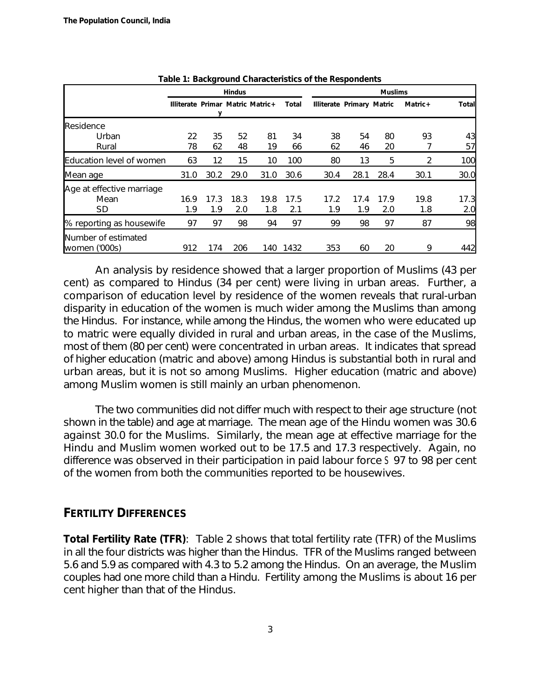|                           |                                  |      | <b>Hindus</b> |      |       | <b>Muslims</b>                   |      |      |         |       |
|---------------------------|----------------------------------|------|---------------|------|-------|----------------------------------|------|------|---------|-------|
|                           | Illiterate Primar Matric Matric+ |      |               |      | Total | <b>Illiterate Primary Matric</b> |      |      | Matric+ | Total |
| Residence                 |                                  |      |               |      |       |                                  |      |      |         |       |
| Urban                     | 22                               | 35   | 52            | 81   | 34    | 38                               | 54   | 80   | 93      | 43    |
| Rural                     | 78                               | 62   | 48            | 19   | 66    | 62                               | 46   | 20   |         | 57    |
| Education level of women  | 63                               | 12   | 15            | 10   | 100   | 80                               | 13   | 5    | 2       | 100   |
| Mean age                  | 31.0                             | 30.2 | 29.0          | 31.0 | 30.6  | 30.4                             | 28.1 | 28.4 | 30.1    | 30.0  |
| Age at effective marriage |                                  |      |               |      |       |                                  |      |      |         |       |
| Mean                      | 16.9                             | 17.3 | 18.3          | 19.8 | 17.5  | 17.2                             | 17.4 | 17.9 | 19.8    | 17.3  |
| SD                        | 1.9                              | 1.9  | 2.0           | 1.8  | 2.1   | 1.9                              | 1.9  | 2.0  | 1.8     | 2.0   |
| % reporting as housewife  | 97                               | 97   | 98            | 94   | 97    | 99                               | 98   | 97   | 87      | 98    |
| Number of estimated       |                                  |      |               |      |       |                                  |      |      |         |       |
| women ('000s)             | 912                              | 174  | 206           | 140  | 1432  | 353                              | 60   | 20   | 9       | 442   |

**Table 1: Background Characteristics of the Respondents**

An analysis by residence showed that a larger proportion of Muslims (43 per cent) as compared to Hindus (34 per cent) were living in urban areas. Further, a comparison of education level by residence of the women reveals that rural-urban disparity in education of the women is much wider among the Muslims than among the Hindus. For instance, while among the Hindus, the women who were educated up to matric were equally divided in rural and urban areas, in the case of the Muslims, most of them (80 per cent) were concentrated in urban areas. It indicates that spread of higher education (matric and above) among Hindus is substantial both in rural and urban areas, but it is not so among Muslims. Higher education (matric and above) among Muslim women is still mainly an urban phenomenon.

The two communities did not differ much with respect to their age structure (not shown in the table) and age at marriage. The mean age of the Hindu women was 30.6 against 30.0 for the Muslims. Similarly, the mean age at effective marriage for the Hindu and Muslim women worked out to be 17.5 and 17.3 respectively. Again, no difference was observed in their participation in paid labour force S 97 to 98 per cent of the women from both the communities reported to be housewives.

# **FERTILITY DIFFERENCES**

**Total Fertility Rate (TFR)**: Table 2 shows that total fertility rate (TFR) of the Muslims in all the four districts was higher than the Hindus. TFR of the Muslims ranged between 5.6 and 5.9 as compared with 4.3 to 5.2 among the Hindus. On an average, the Muslim couples had one more child than a Hindu. Fertility among the Muslims is about 16 per cent higher than that of the Hindus.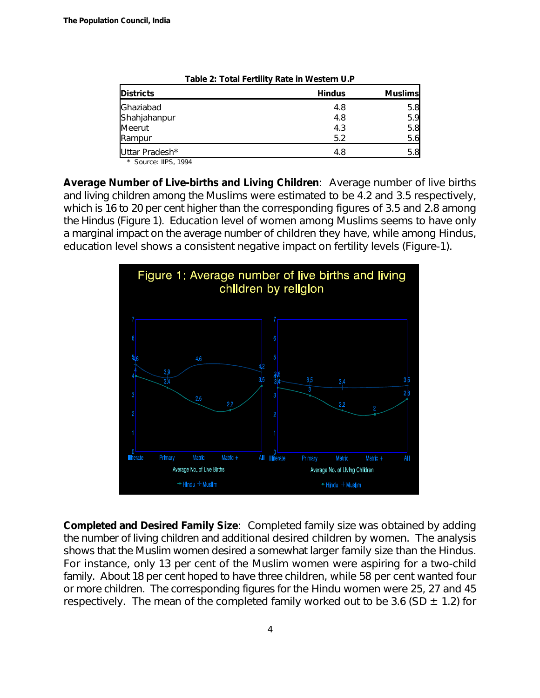| <b>Districts</b>     | <b>Hindus</b> | <b>Muslims</b> |
|----------------------|---------------|----------------|
| Ghaziabad            | 4.8           | 5.8            |
| Shahjahanpur         | 4.8           | 5.9            |
| Meerut               | 4.3           | 5.8            |
| Rampur               | 5.2           | 5.6            |
| Uttar Pradesh*       | 4.8           | 5.8            |
| * Source: IIPS, 1994 |               |                |

**Table 2: Total Fertility Rate in Western U.P**

**Average Number of Live-births and Living Children**: Average number of live births and living children among the Muslims were estimated to be 4.2 and 3.5 respectively, which is 16 to 20 per cent higher than the corresponding figures of 3.5 and 2.8 among the Hindus (Figure 1). Education level of women among Muslims seems to have only a marginal impact on the average number of children they have, while among Hindus, education level shows a consistent negative impact on fertility levels (Figure-1).



**Completed and Desired Family Size**: Completed family size was obtained by adding the number of living children and additional desired children by women. The analysis shows that the Muslim women desired a somewhat larger family size than the Hindus. For instance, only 13 per cent of the Muslim women were aspiring for a two-child family. About 18 per cent hoped to have three children, while 58 per cent wanted four or more children. The corresponding figures for the Hindu women were 25, 27 and 45 respectively. The mean of the completed family worked out to be 3.6 (SD  $\pm$  1.2) for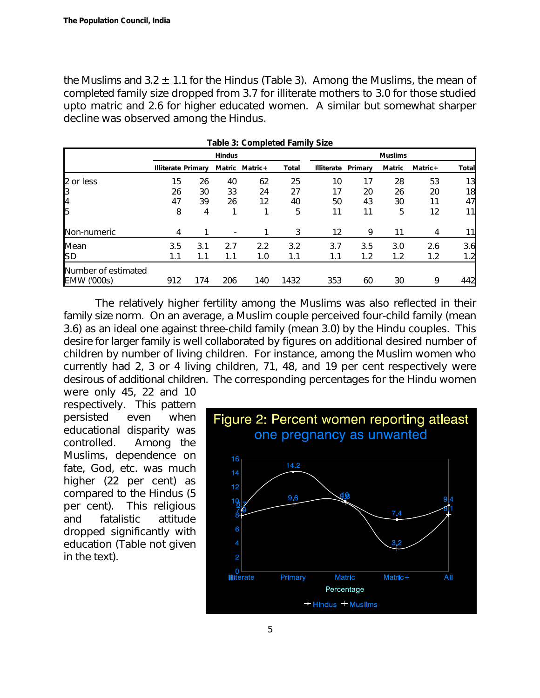the Muslims and  $3.2 \pm 1.1$  for the Hindus (Table 3). Among the Muslims, the mean of completed family size dropped from 3.7 for illiterate mothers to 3.0 for those studied upto matric and 2.6 for higher educated women. A similar but somewhat sharper decline was observed among the Hindus.

|                                    | <b>Table 3: Completed Family Size</b> |     |               |                |              |            |                |               |            |              |  |
|------------------------------------|---------------------------------------|-----|---------------|----------------|--------------|------------|----------------|---------------|------------|--------------|--|
|                                    |                                       |     | <b>Hindus</b> |                |              |            | <b>Muslims</b> |               |            |              |  |
|                                    | <b>Illiterate Primary</b>             |     |               | Matric Matric+ | <b>Total</b> | Illiterate | Primary        | <b>Matric</b> | $Matric +$ | <b>Total</b> |  |
| 2 or less                          | 15                                    | 26  | 40            | 62             | 25           | 10         | 17             | 28            | 53         | 13           |  |
| 3                                  | 26                                    | 30  | 33            | 24             | 27           | 17         | 20             | 26            | 20         | 18           |  |
| 4                                  | 47                                    | 39  | 26            | 12             | 40           | 50         | 43             | 30            | 11         | 47           |  |
| 5                                  | 8                                     | 4   | ◀             | 1              | 5            | 11         | 11             | 5             | 12         | 11           |  |
| Non-numeric                        | 4                                     |     |               |                | 3            | 12         | 9              | 11            | 4          |              |  |
| Mean                               | 3.5                                   | 3.1 | 2.7           | 2.2            | 3.2          | 3.7        | 3.5            | 3.0           | 2.6        | 3.6          |  |
| <b>SD</b>                          | 1.1                                   | 1.1 | 1.1           | 1.0            | 1.1          | 1.1        | 1.2            | 1.2           | 1.2        | 1.2          |  |
| Number of estimated<br>EMW ('000s) | 912                                   | 174 | 206           | 140            | 1432         | 353        | 60             | 30            | 9          | 442          |  |

The relatively higher fertility among the Muslims was also reflected in their family size norm. On an average, a Muslim couple perceived four-child family (mean 3.6) as an ideal one against three-child family (mean 3.0) by the Hindu couples. This desire for larger family is well collaborated by figures on additional desired number of children by number of living children. For instance, among the Muslim women who currently had 2, 3 or 4 living children, 71, 48, and 19 per cent respectively were desirous of additional children. The corresponding percentages for the Hindu women

were only 45, 22 and 10 respectively. This pattern persisted even when educational disparity was controlled. Among the Muslims, dependence on fate, God, etc. was much higher (22 per cent) as compared to the Hindus (5 per cent). This religious and fatalistic attitude dropped significantly with education (Table not given in the text).

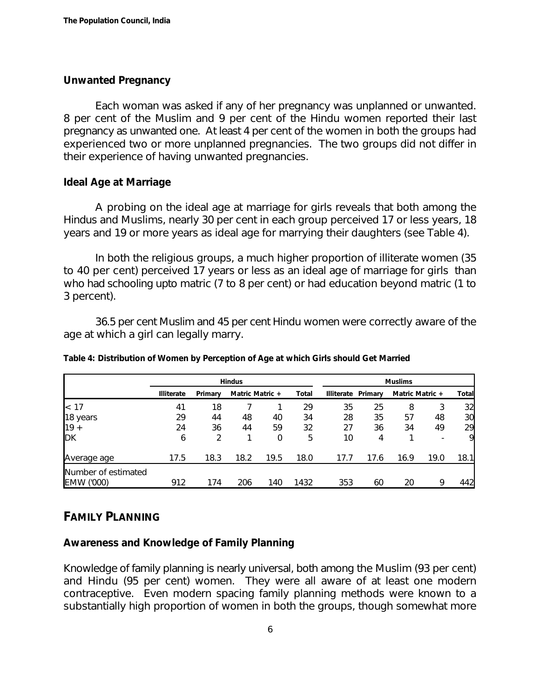### **Unwanted Pregnancy**

Each woman was asked if any of her pregnancy was unplanned or unwanted. 8 per cent of the Muslim and 9 per cent of the Hindu women reported their last pregnancy as unwanted one. At least 4 per cent of the women in both the groups had experienced two or more unplanned pregnancies. The two groups did not differ in their experience of having unwanted pregnancies.

### **Ideal Age at Marriage**

A probing on the ideal age at marriage for girls reveals that both among the Hindus and Muslims, nearly 30 per cent in each group perceived 17 or less years, 18 years and 19 or more years as ideal age for marrying their daughters (see Table 4).

In both the religious groups, a much higher proportion of illiterate women (35 to 40 per cent) perceived 17 years or less as an ideal age of marriage for girls than who had schooling upto matric (7 to 8 per cent) or had education beyond matric (1 to 3 percent).

36.5 per cent Muslim and 45 per cent Hindu women were correctly aware of the age at which a girl can legally marry.

|                     |                   |         | <b>Hindus</b>   |      |              | <b>Muslims</b>            |      |                 |      |              |
|---------------------|-------------------|---------|-----------------|------|--------------|---------------------------|------|-----------------|------|--------------|
|                     | <b>Illiterate</b> | Primary | Matric Matric + |      | <b>Total</b> | <b>Illiterate Primary</b> |      | Matric Matric + |      | <b>Total</b> |
| < 17                | 41                | 18      |                 |      | 29           | 35                        | 25   | 8               | 3    | 32           |
| 18 years            | 29                | 44      | 48              | 40   | 34           | 28                        | 35   | 57              | 48   | 30           |
| $19 +$              | 24                | 36      | 44              | 59   | 32           | 27                        | 36   | 34              | 49   | 29           |
| DК                  | 6                 | 2       |                 | 0    | 5            | 10                        | 4    |                 |      | 9            |
| Average age         | 17.5              | 18.3    | 18.2            | 19.5 | 18.0         | 17.7                      | 17.6 | 16.9            | 19.0 | 18.1         |
| Number of estimated |                   |         |                 |      |              |                           |      |                 |      |              |
| EMW ('000)          | 912               | 174     | 206             | 140  | 1432         | 353                       | 60   | 20              | 9    | 442          |

#### **Table 4: Distribution of Women by Perception of Age at which Girls should Get Married**

# **FAMILY PLANNING**

### **Awareness and Knowledge of Family Planning**

Knowledge of family planning is nearly universal, both among the Muslim (93 per cent) and Hindu (95 per cent) women. They were all aware of at least one modern contraceptive. Even modern spacing family planning methods were known to a substantially high proportion of women in both the groups, though somewhat more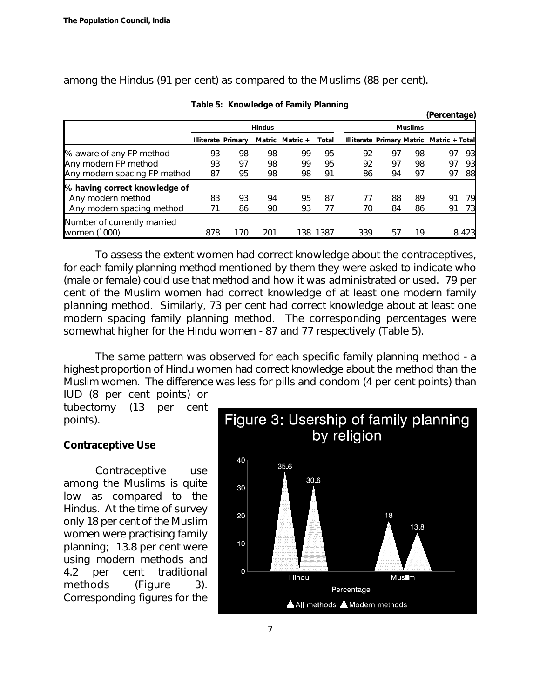among the Hindus (91 per cent) as compared to the Muslims (88 per cent).

|                               |                           |     |               |                   |       |                |    |    | (Percentage)                             |         |
|-------------------------------|---------------------------|-----|---------------|-------------------|-------|----------------|----|----|------------------------------------------|---------|
|                               |                           |     | <b>Hindus</b> |                   |       | <b>Muslims</b> |    |    |                                          |         |
|                               | <b>Illiterate Primary</b> |     |               | Matric Matric $+$ | Total |                |    |    | Illiterate Primary Matric Matric + Total |         |
| % aware of any FP method      | 93                        | 98  | 98            | 99                | 95    | 92             | 97 | 98 | 97                                       | 93      |
| Any modern FP method          | 93                        | 97  | 98            | 99                | 95    | 92             | 97 | 98 | 97                                       | 93      |
| Any modern spacing FP method  | 87                        | 95  | 98            | 98                | 91    | 86             | 94 | 97 | 97                                       | 88      |
| % having correct knowledge of |                           |     |               |                   |       |                |    |    |                                          |         |
| Any modern method             | 83                        | 93  | 94            | 95                | 87    | 77             | 88 | 89 | 91                                       | 79      |
| Any modern spacing method     | 71                        | 86  | 90            | 93                | 77    | 70             | 84 | 86 | 91                                       | 73      |
| Number of currently married   |                           |     |               |                   |       |                |    |    |                                          |         |
| women (`000)                  | 878                       | 170 | 201           | 138               | 1387  | 339            | 57 | 19 |                                          | 8 4 2 3 |

#### **Table 5: Knowledge of Family Planning**

To assess the extent women had correct knowledge about the contraceptives, for each family planning method mentioned by them they were asked to indicate who (male or female) could use that method and how it was administrated or used. 79 per cent of the Muslim women had correct knowledge of at least one modern family planning method. Similarly, 73 per cent had correct knowledge about at least one modern spacing family planning method. The corresponding percentages were somewhat higher for the Hindu women - 87 and 77 respectively (Table 5).

The same pattern was observed for each specific family planning method - a highest proportion of Hindu women had correct knowledge about the method than the Muslim women. The difference was less for pills and condom (4 per cent points) than IUD (8 per cent points) or

tubectomy (13 per cent points).

### **Contraceptive Use**

Contraceptive use among the Muslims is quite low as compared to the Hindus. At the time of survey only 18 per cent of the Muslim women were practising family planning; 13.8 per cent were using modern methods and 4.2 per cent traditional methods (Figure 3). Corresponding figures for the

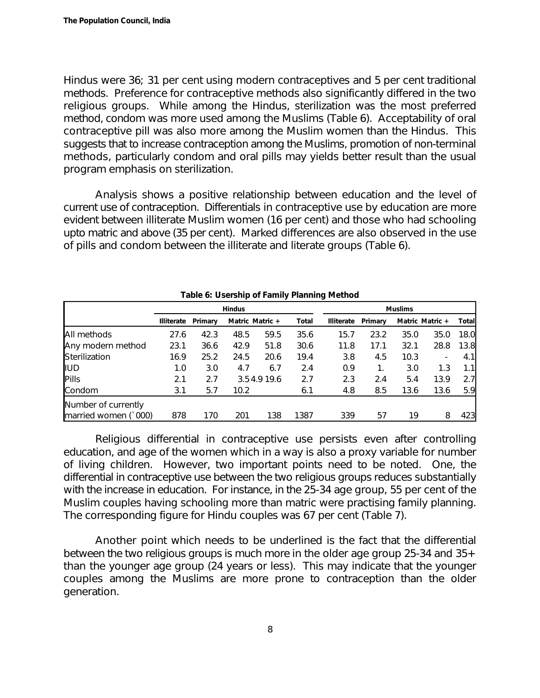Hindus were 36; 31 per cent using modern contraceptives and 5 per cent traditional methods. Preference for contraceptive methods also significantly differed in the two religious groups. While among the Hindus, sterilization was the most preferred method, condom was more used among the Muslims (Table 6). Acceptability of oral contraceptive pill was also more among the Muslim women than the Hindus. This suggests that to increase contraception among the Muslims, promotion of non-terminal methods, particularly condom and oral pills may yields better result than the usual program emphasis on sterilization.

Analysis shows a positive relationship between education and the level of current use of contraception. Differentials in contraceptive use by education are more evident between illiterate Muslim women (16 per cent) and those who had schooling upto matric and above (35 per cent). Marked differences are also observed in the use of pills and condom between the illiterate and literate groups (Table 6).

| rable 6. Osership or Farnity Flaming iveu iou |                   |         |                   |            |       |                   |         |      |                   |                  |  |
|-----------------------------------------------|-------------------|---------|-------------------|------------|-------|-------------------|---------|------|-------------------|------------------|--|
|                                               |                   |         | <b>Hindus</b>     |            |       | <b>Muslims</b>    |         |      |                   |                  |  |
|                                               | <b>Illiterate</b> | Primary | Matric Matric $+$ |            | Total | <b>Illiterate</b> | Primary |      | Matric Matric $+$ | Total            |  |
| All methods                                   | 27.6              | 42.3    | 48.5              | 59.5       | 35.6  | 15.7              | 23.2    | 35.0 | 35.0              | 18.0             |  |
| Any modern method                             | 23.1              | 36.6    | 42.9              | 51.8       | 30.6  | 11.8              | 17.1    | 32.1 | 28.8              | 13.8             |  |
| Sterilization                                 | 16.9              | 25.2    | 24.5              | 20.6       | 19.4  | 3.8               | 4.5     | 10.3 |                   | 4.1              |  |
| IUD                                           | 1.0               | 3.0     | 4.7               | 6.7        | 2.4   | 0.9               |         | 3.0  | 1.3               | 1.1              |  |
| Pills                                         | 2.1               | 2.7     |                   | 3.54.919.6 | 2.7   | 2.3               | 2.4     | 5.4  | 13.9              | 2.7 <sub>l</sub> |  |
| Condom                                        | 3.1               | 5.7     | 10.2              |            | 6.1   | 4.8               | 8.5     | 13.6 | 13.6              | 5.9              |  |
| Number of currently                           |                   |         |                   |            |       |                   |         |      |                   |                  |  |
| married women (`000)                          | 878               | 170     | 201               | 138        | 1387  | 339               | 57      | 19   | 8                 | 423              |  |

#### **Table 6: Usership of Family Planning Method**

Religious differential in contraceptive use persists even after controlling education, and age of the women which in a way is also a proxy variable for number of living children. However, two important points need to be noted. One, the differential in contraceptive use between the two religious groups reduces substantially with the increase in education. For instance, in the 25-34 age group, 55 per cent of the Muslim couples having schooling more than matric were practising family planning. The corresponding figure for Hindu couples was 67 per cent (Table 7).

Another point which needs to be underlined is the fact that the differential between the two religious groups is much more in the older age group 25-34 and 35+ than the younger age group (24 years or less). This may indicate that the younger couples among the Muslims are more prone to contraception than the older generation.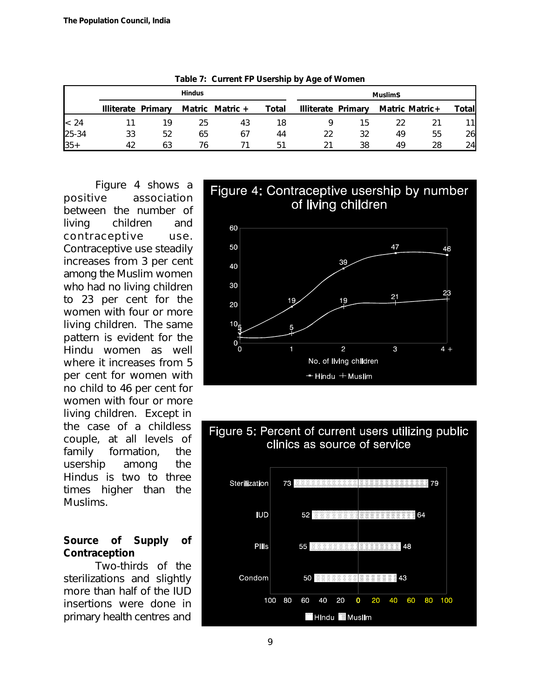|       |                    |     | <b>Hindus</b> |                   |       | <b>MuslimS</b>            |    |    |                |       |  |  |
|-------|--------------------|-----|---------------|-------------------|-------|---------------------------|----|----|----------------|-------|--|--|
|       | Illiterate Primary |     |               | Matric Matric $+$ | Total | <b>Illiterate Primary</b> |    |    | Matric Matric+ | Total |  |  |
| < 24  |                    | 1 Q | 25            | 43                | 18    |                           | 15 |    |                |       |  |  |
| 25-34 | 33                 | 52  | 65            |                   | 44    | 22                        | 32 | 49 | 55             | 26    |  |  |
| $35+$ | 42                 |     | 76            |                   |       |                           | 38 | 49 | 28             | 24    |  |  |

**Table 7: Current FP Usership by Age of Women**

Figure 4 shows a positive association between the number of living children and contraceptive use. Contraceptive use steadily increases from 3 per cent among the Muslim women who had no living children to 23 per cent for the women with four or more living children. The same pattern is evident for the Hindu women as well where it increases from 5 per cent for women with no child to 46 per cent for women with four or more living children. Except in the case of a childless couple, at all levels of family formation, the usership among the Hindus is two to three times higher than the Muslims.

# **Source of Supply of Contraception**

Two-thirds of the sterilizations and slightly more than half of the IUD insertions were done in primary health centres and



# Figure 5: Percent of current users utilizing public clinics as source of service

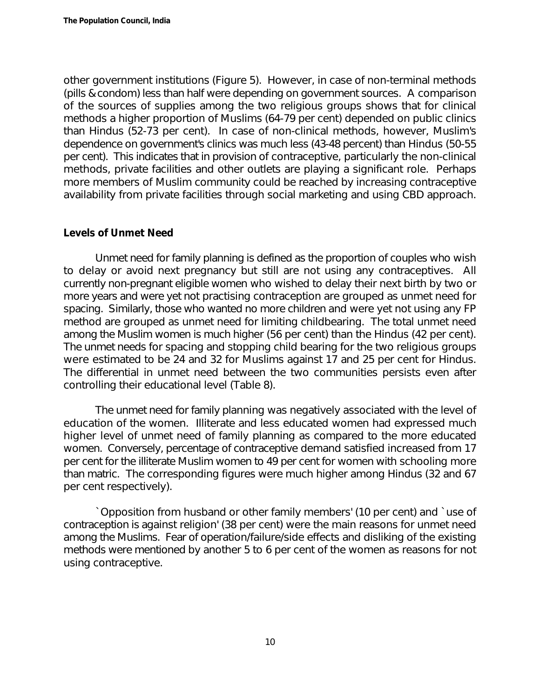other government institutions (Figure 5). However, in case of non-terminal methods (pills & condom) less than half were depending on government sources. A comparison of the sources of supplies among the two religious groups shows that for clinical methods a higher proportion of Muslims (64-79 per cent) depended on public clinics than Hindus (52-73 per cent). In case of non-clinical methods, however, Muslim's dependence on government's clinics was much less (43-48 percent) than Hindus (50-55 per cent). This indicates that in provision of contraceptive, particularly the non-clinical methods, private facilities and other outlets are playing a significant role. Perhaps more members of Muslim community could be reached by increasing contraceptive availability from private facilities through social marketing and using CBD approach.

## **Levels of Unmet Need**

Unmet need for family planning is defined as the proportion of couples who wish to delay or avoid next pregnancy but still are not using any contraceptives. All currently non-pregnant eligible women who wished to delay their next birth by two or more years and were yet not practising contraception are grouped as unmet need for spacing. Similarly, those who wanted no more children and were yet not using any FP method are grouped as unmet need for limiting childbearing. The total unmet need among the Muslim women is much higher (56 per cent) than the Hindus (42 per cent). The unmet needs for spacing and stopping child bearing for the two religious groups were estimated to be 24 and 32 for Muslims against 17 and 25 per cent for Hindus. The differential in unmet need between the two communities persists even after controlling their educational level (Table 8).

The unmet need for family planning was negatively associated with the level of education of the women. Illiterate and less educated women had expressed much higher level of unmet need of family planning as compared to the more educated women. Conversely, percentage of contraceptive demand satisfied increased from 17 per cent for the illiterate Muslim women to 49 per cent for women with schooling more than matric. The corresponding figures were much higher among Hindus (32 and 67 per cent respectively).

`Opposition from husband or other family members' (10 per cent) and `use of contraception is against religion' (38 per cent) were the main reasons for unmet need among the Muslims. Fear of operation/failure/side effects and disliking of the existing methods were mentioned by another 5 to 6 per cent of the women as reasons for not using contraceptive.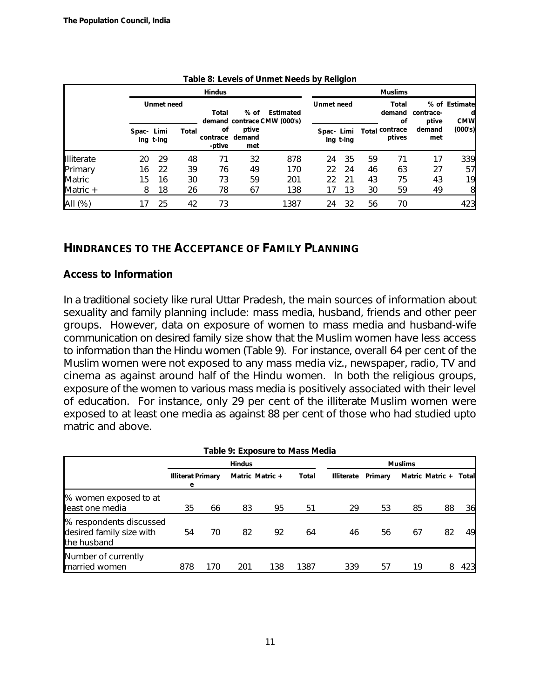|                   |           |                   |       | <b>Hindus</b>                                                                  |              |      |    | <b>Muslims</b> |    |                                                           |    |                             |         |
|-------------------|-----------|-------------------|-------|--------------------------------------------------------------------------------|--------------|------|----|----------------|----|-----------------------------------------------------------|----|-----------------------------|---------|
|                   |           | <b>Unmet need</b> |       | <b>Unmet need</b><br>% of<br>Estimated<br>Total<br>demand contrace CMW (000's) |              |      |    |                |    | <b>Total</b><br>demand<br>contrace-<br><b>of</b><br>ptive |    | % of Estimate<br><b>CMW</b> |         |
|                   | Spac-Limi | ing t-ing         | Total | οf<br>contrace demand<br>-ptive                                                | ptive<br>met |      |    | ing t-ing      |    | Spac- Limi Total contrace<br>ptives                       |    | demand<br>met               | (000's) |
| <b>Illiterate</b> | 20        | 29                | 48    | 71                                                                             | 32           | 878  | 24 | 35             | 59 | 71                                                        | 17 | 339                         |         |
| Primary           | 16        | 22                | 39    | 76                                                                             | 49           | 170  | 22 | 24             | 46 | 63                                                        | 27 | 57                          |         |
| Matric            | 15        | 16                | 30    | 73                                                                             | 59           | 201  | 22 | 21             | 43 | 75                                                        | 43 | 19                          |         |
| Matric $+$        | 8         | 18                | 26    | 78                                                                             | 67           | 138  | 17 | 13             | 30 | 59                                                        | 49 | 8                           |         |
| All (%)           |           | 25                | 42    | 73                                                                             |              | 1387 | 24 | 32             | 56 | 70                                                        |    | 423                         |         |

|  |  | Table 8: Levels of Unmet Needs by Religion |
|--|--|--------------------------------------------|
|  |  |                                            |

# **HINDRANCES TO THE ACCEPTANCE OF FAMILY PLANNING**

## **Access to Information**

In a traditional society like rural Uttar Pradesh, the main sources of information about sexuality and family planning include: mass media, husband, friends and other peer groups. However, data on exposure of women to mass media and husband-wife communication on desired family size show that the Muslim women have less access to information than the Hindu women (Table 9). For instance, overall 64 per cent of the Muslim women were not exposed to any mass media viz., newspaper, radio, TV and cinema as against around half of the Hindu women. In both the religious groups, exposure of the women to various mass media is positively associated with their level of education. For instance, only 29 per cent of the illiterate Muslim women were exposed to at least one media as against 88 per cent of those who had studied upto matric and above.

| Table 9: Exposure to Mass Media                                    |                               |     |                   |     |              |                   |                |    |                       |    |  |  |
|--------------------------------------------------------------------|-------------------------------|-----|-------------------|-----|--------------|-------------------|----------------|----|-----------------------|----|--|--|
|                                                                    |                               |     | <b>Hindus</b>     |     |              |                   | <b>Muslims</b> |    |                       |    |  |  |
|                                                                    | <b>Illiterat Primary</b><br>е |     | Matric Matric $+$ |     | <b>Total</b> | <b>Illiterate</b> | Primary        |    | Matric Matric + Total |    |  |  |
| % women exposed to at<br>least one media                           | 35                            | 66  | 83                | 95  | 51           | 29                | 53             | 85 | 88                    | 36 |  |  |
| % respondents discussed<br>desired family size with<br>the husband | 54                            | 70  | 82                | 92  | 64           | 46                | 56             | 67 | 82                    | 49 |  |  |
| Number of currently<br>married women                               | 878                           | 170 | 201               | 138 | 1387         | 339               | 57             | 19 | 8                     |    |  |  |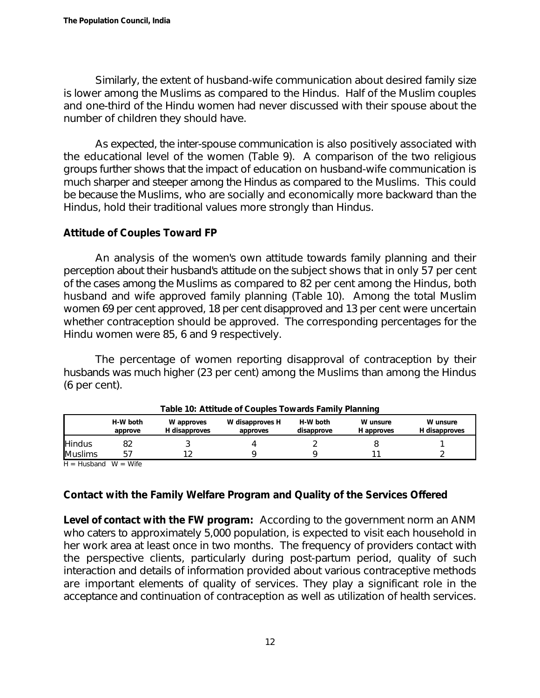Similarly, the extent of husband-wife communication about desired family size is lower among the Muslims as compared to the Hindus. Half of the Muslim couples and one-third of the Hindu women had never discussed with their spouse about the number of children they should have.

As expected, the inter-spouse communication is also positively associated with the educational level of the women (Table 9). A comparison of the two religious groups further shows that the impact of education on husband-wife communication is much sharper and steeper among the Hindus as compared to the Muslims. This could be because the Muslims, who are socially and economically more backward than the Hindus, hold their traditional values more strongly than Hindus.

## **Attitude of Couples Toward FP**

An analysis of the women's own attitude towards family planning and their perception about their husband's attitude on the subject shows that in only 57 per cent of the cases among the Muslims as compared to 82 per cent among the Hindus, both husband and wife approved family planning (Table 10). Among the total Muslim women 69 per cent approved, 18 per cent disapproved and 13 per cent were uncertain whether contraception should be approved. The corresponding percentages for the Hindu women were 85, 6 and 9 respectively.

The percentage of women reporting disapproval of contraception by their husbands was much higher (23 per cent) among the Muslims than among the Hindus (6 per cent).

|                | H-W both<br>approve | W approves<br>H disapproves | W disapproves H<br>approves | H-W both<br>disapprove | W unsure<br>H approves | W unsure<br>H disapproves |
|----------------|---------------------|-----------------------------|-----------------------------|------------------------|------------------------|---------------------------|
| <b>Hindus</b>  |                     |                             |                             |                        |                        |                           |
| <b>Muslims</b> |                     | 1. 2                        |                             |                        |                        |                           |

#### **Table 10: Attitude of Couples Towards Family Planning**

 $H = H$ usband  $W = W$ ife

# **Contact with the Family Welfare Program and Quality of the Services Offered**

**Level of contact with the FW program:** According to the government norm an ANM who caters to approximately 5,000 population, is expected to visit each household in her work area at least once in two months. The frequency of providers contact with the perspective clients, particularly during post-partum period, quality of such interaction and details of information provided about various contraceptive methods are important elements of quality of services. They play a significant role in the acceptance and continuation of contraception as well as utilization of health services.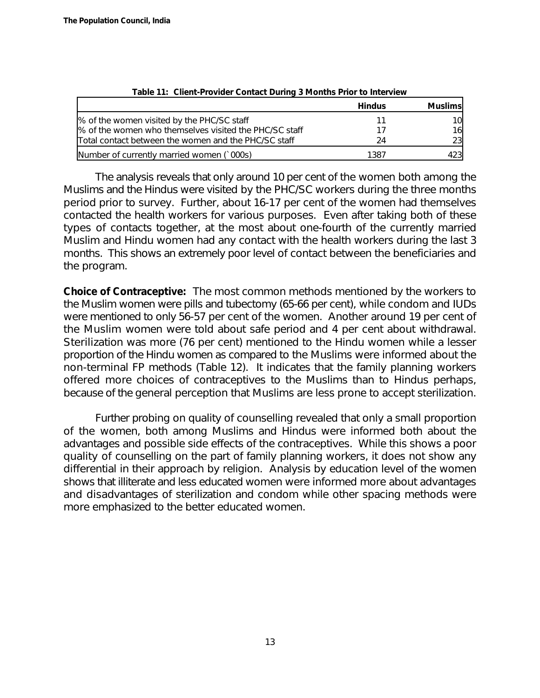| <b>Table TITE ORDIN'T FOVIGOL OOITIGOL DUITING O INTOITING TITOL TO INTERVIEW</b> |               |                |  |  |  |  |  |  |  |
|-----------------------------------------------------------------------------------|---------------|----------------|--|--|--|--|--|--|--|
|                                                                                   | <b>Hindus</b> | <b>Muslims</b> |  |  |  |  |  |  |  |
| % of the women visited by the PHC/SC staff                                        |               | 1 O I          |  |  |  |  |  |  |  |
| % of the women who themselves visited the PHC/SC staff                            |               | 16             |  |  |  |  |  |  |  |
| Total contact between the women and the PHC/SC staff                              | 24            | 23             |  |  |  |  |  |  |  |
| Number of currently married women (`000s)                                         | 1387          |                |  |  |  |  |  |  |  |

| Table 11: Client-Provider Contact During 3 Months Prior to Interview |
|----------------------------------------------------------------------|
|----------------------------------------------------------------------|

The analysis reveals that only around 10 per cent of the women both among the Muslims and the Hindus were visited by the PHC/SC workers during the three months period prior to survey. Further, about 16-17 per cent of the women had themselves contacted the health workers for various purposes. Even after taking both of these types of contacts together, at the most about one-fourth of the currently married Muslim and Hindu women had any contact with the health workers during the last 3 months. This shows an extremely poor level of contact between the beneficiaries and the program.

**Choice of Contraceptive:** The most common methods mentioned by the workers to the Muslim women were pills and tubectomy (65-66 per cent), while condom and IUDs were mentioned to only 56-57 per cent of the women. Another around 19 per cent of the Muslim women were told about safe period and 4 per cent about withdrawal. Sterilization was more (76 per cent) mentioned to the Hindu women while a lesser proportion of the Hindu women as compared to the Muslims were informed about the non-terminal FP methods (Table 12). It indicates that the family planning workers offered more choices of contraceptives to the Muslims than to Hindus perhaps, because of the general perception that Muslims are less prone to accept sterilization.

Further probing on quality of counselling revealed that only a small proportion of the women, both among Muslims and Hindus were informed both about the advantages and possible side effects of the contraceptives. While this shows a poor quality of counselling on the part of family planning workers, it does not show any differential in their approach by religion. Analysis by education level of the women shows that illiterate and less educated women were informed more about advantages and disadvantages of sterilization and condom while other spacing methods were more emphasized to the better educated women.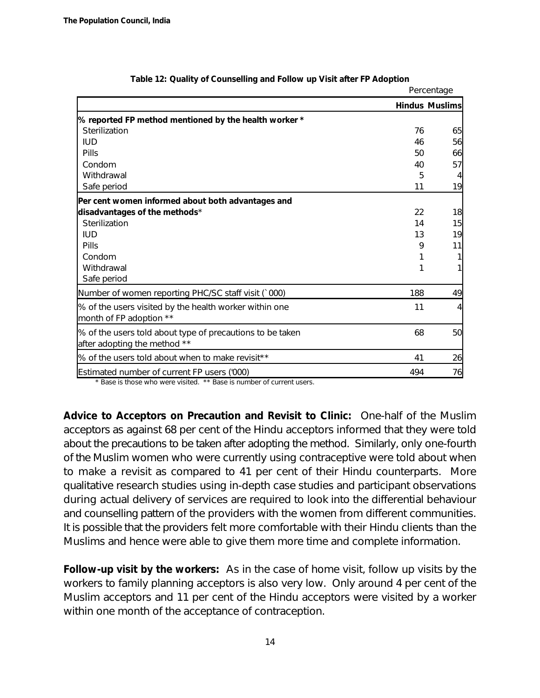|                                                                                           |     | Percentage            |
|-------------------------------------------------------------------------------------------|-----|-----------------------|
|                                                                                           |     | <b>Hindus Muslims</b> |
| % reported FP method mentioned by the health worker *                                     |     |                       |
| Sterilization                                                                             | 76  | 65                    |
| <b>IUD</b>                                                                                | 46  | 56                    |
| Pills                                                                                     | 50  | 66                    |
| Condom                                                                                    | 40  | 57                    |
| Withdrawal                                                                                | 5   |                       |
| Safe period                                                                               | 11  | 19                    |
| Per cent women informed about both advantages and                                         |     |                       |
| disadvantages of the methods*                                                             | 22  | 18                    |
| Sterilization                                                                             | 14  | 15                    |
| <b>IUD</b>                                                                                | 13  | 19                    |
| Pills                                                                                     | 9   | 11                    |
| Condom                                                                                    |     |                       |
| Withdrawal                                                                                | 1   |                       |
| Safe period                                                                               |     |                       |
| Number of women reporting PHC/SC staff visit (`000)                                       | 188 | 49                    |
| % of the users visited by the health worker within one<br>month of FP adoption **         | 11  | 4                     |
| % of the users told about type of precautions to be taken<br>after adopting the method ** | 68  | 50                    |
| % of the users told about when to make revisit**                                          | 41  | 26                    |
| Estimated number of current FP users ('000)                                               | 494 | 76                    |

**Table 12: Quality of Counselling and Follow up Visit after FP Adoption**

\* Base is those who were visited. \*\* Base is number of current users.

**Advice to Acceptors on Precaution and Revisit to Clinic:** One-half of the Muslim acceptors as against 68 per cent of the Hindu acceptors informed that they were told about the precautions to be taken after adopting the method. Similarly, only one-fourth of the Muslim women who were currently using contraceptive were told about when to make a revisit as compared to 41 per cent of their Hindu counterparts. More qualitative research studies using in-depth case studies and participant observations during actual delivery of services are required to look into the differential behaviour and counselling pattern of the providers with the women from different communities. It is possible that the providers felt more comfortable with their Hindu clients than the Muslims and hence were able to give them more time and complete information.

**Follow-up visit by the workers:** As in the case of home visit, follow up visits by the workers to family planning acceptors is also very low. Only around 4 per cent of the Muslim acceptors and 11 per cent of the Hindu acceptors were visited by a worker within one month of the acceptance of contraception.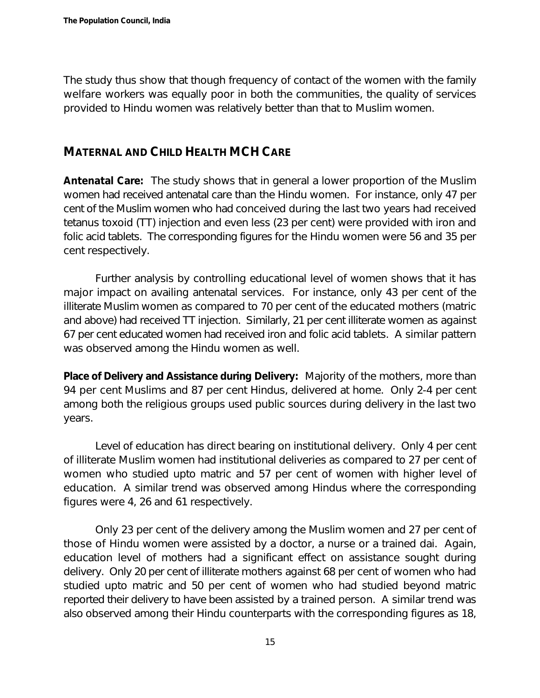The study thus show that though frequency of contact of the women with the family welfare workers was equally poor in both the communities, the quality of services provided to Hindu women was relatively better than that to Muslim women.

# **MATERNAL AND CHILD HEALTH MCH CARE**

**Antenatal Care:** The study shows that in general a lower proportion of the Muslim women had received antenatal care than the Hindu women. For instance, only 47 per cent of the Muslim women who had conceived during the last two years had received tetanus toxoid (TT) injection and even less (23 per cent) were provided with iron and folic acid tablets. The corresponding figures for the Hindu women were 56 and 35 per cent respectively.

Further analysis by controlling educational level of women shows that it has major impact on availing antenatal services. For instance, only 43 per cent of the illiterate Muslim women as compared to 70 per cent of the educated mothers (matric and above) had received TT injection. Similarly, 21 per cent illiterate women as against 67 per cent educated women had received iron and folic acid tablets. A similar pattern was observed among the Hindu women as well.

**Place of Delivery and Assistance during Delivery:** Majority of the mothers, more than 94 per cent Muslims and 87 per cent Hindus, delivered at home. Only 2-4 per cent among both the religious groups used public sources during delivery in the last two years.

Level of education has direct bearing on institutional delivery. Only 4 per cent of illiterate Muslim women had institutional deliveries as compared to 27 per cent of women who studied upto matric and 57 per cent of women with higher level of education. A similar trend was observed among Hindus where the corresponding figures were 4, 26 and 61 respectively.

Only 23 per cent of the delivery among the Muslim women and 27 per cent of those of Hindu women were assisted by a doctor, a nurse or a trained dai. Again, education level of mothers had a significant effect on assistance sought during delivery. Only 20 per cent of illiterate mothers against 68 per cent of women who had studied upto matric and 50 per cent of women who had studied beyond matric reported their delivery to have been assisted by a trained person. A similar trend was also observed among their Hindu counterparts with the corresponding figures as 18,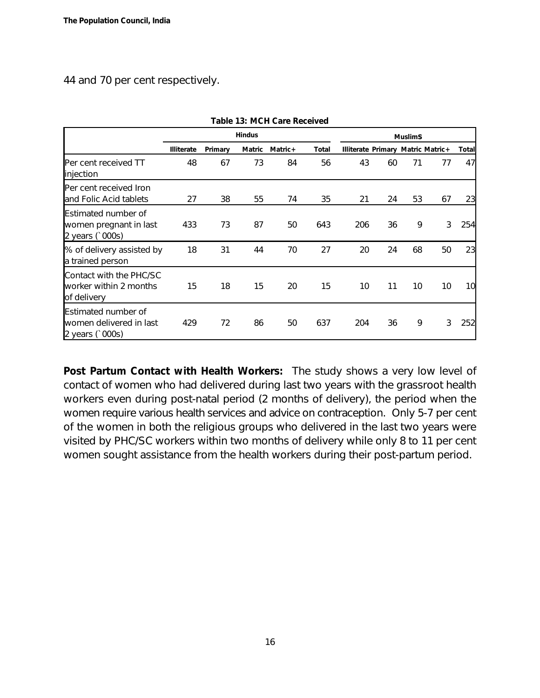44 and 70 per cent respectively.

| rable 13: MCH Care Received                                             |                   |                |               |         |       |                                   |    |    |    |              |
|-------------------------------------------------------------------------|-------------------|----------------|---------------|---------|-------|-----------------------------------|----|----|----|--------------|
|                                                                         |                   | <b>MuslimS</b> |               |         |       |                                   |    |    |    |              |
|                                                                         | <b>Illiterate</b> | Primary        | <b>Matric</b> | Matric+ | Total | Illiterate Primary Matric Matric+ |    |    |    | <b>Total</b> |
| Per cent received TT<br>injection                                       | 48                | 67             | 73            | 84      | 56    | 43                                | 60 | 71 | 77 | 47           |
| Per cent received Iron<br>and Folic Acid tablets                        | 27                | 38             | 55            | 74      | 35    | 21                                | 24 | 53 | 67 | 23           |
| <b>Estimated number of</b><br>women pregnant in last<br>2 years (`000s) | 433               | 73             | 87            | 50      | 643   | 206                               | 36 | 9  | 3  | 254          |
| % of delivery assisted by<br>a trained person                           | 18                | 31             | 44            | 70      | 27    | 20                                | 24 | 68 | 50 | 23           |
| Contact with the PHC/SC<br>worker within 2 months<br>of delivery        | 15                | 18             | 15            | 20      | 15    | 10                                | 11 | 10 | 10 | 10           |
| Estimated number of<br>women delivered in last<br>2 years (`000s)       | 429               | 72             | 86            | 50      | 637   | 204                               | 36 | 9  | 3  | 252          |

**Table 13: MCH Care Received**

**Post Partum Contact with Health Workers:** The study shows a very low level of contact of women who had delivered during last two years with the grassroot health workers even during post-natal period (2 months of delivery), the period when the women require various health services and advice on contraception. Only 5-7 per cent of the women in both the religious groups who delivered in the last two years were visited by PHC/SC workers within two months of delivery while only 8 to 11 per cent women sought assistance from the health workers during their post-partum period.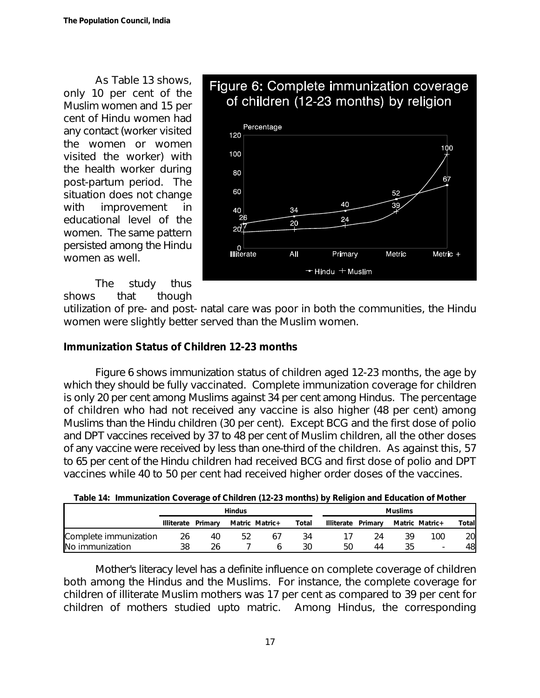As Table 13 shows, only 10 per cent of the Muslim women and 15 per cent of Hindu women had any contact (worker visited the women or women visited the worker) with the health worker during post-partum period. The situation does not change with improvement in educational level of the women. The same pattern persisted among the Hindu women as well.

The study thus shows that though

# Figure 6: Complete immunization coverage of children (12-23 months) by religion



utilization of pre- and post- natal care was poor in both the communities, the Hindu women were slightly better served than the Muslim women.

# **Immunization Status of Children 12-23 months**

Figure 6 shows immunization status of children aged 12-23 months, the age by which they should be fully vaccinated. Complete immunization coverage for children is only 20 per cent among Muslims against 34 per cent among Hindus. The percentage of children who had not received any vaccine is also higher (48 per cent) among Muslims than the Hindu children (30 per cent). Except BCG and the first dose of polio and DPT vaccines received by 37 to 48 per cent of Muslim children, all the other doses of any vaccine were received by less than one-third of the children. As against this, 57 to 65 per cent of the Hindu children had received BCG and first dose of polio and DPT vaccines while 40 to 50 per cent had received higher order doses of the vaccines.

**Table 14: Immunization Coverage of Children (12-23 months) by Religion and Education of Mother**

|                       |                    |    | Hindus |                |       | <b>Muslims</b>     |  |    |                          |        |
|-----------------------|--------------------|----|--------|----------------|-------|--------------------|--|----|--------------------------|--------|
|                       | Illiterate Primary |    |        | Matric Matric+ | Total | Illiterate Primary |  |    | Matric Matric+           | Totall |
| Complete immunization | 26                 | 40 |        | 67             |       |                    |  |    | 100                      | 20     |
| No immunization       | 38                 | 26 |        |                |       | 50                 |  | 35 | $\overline{\phantom{0}}$ | 48     |

Mother's literacy level has a definite influence on complete coverage of children both among the Hindus and the Muslims. For instance, the complete coverage for children of illiterate Muslim mothers was 17 per cent as compared to 39 per cent for children of mothers studied upto matric. Among Hindus, the corresponding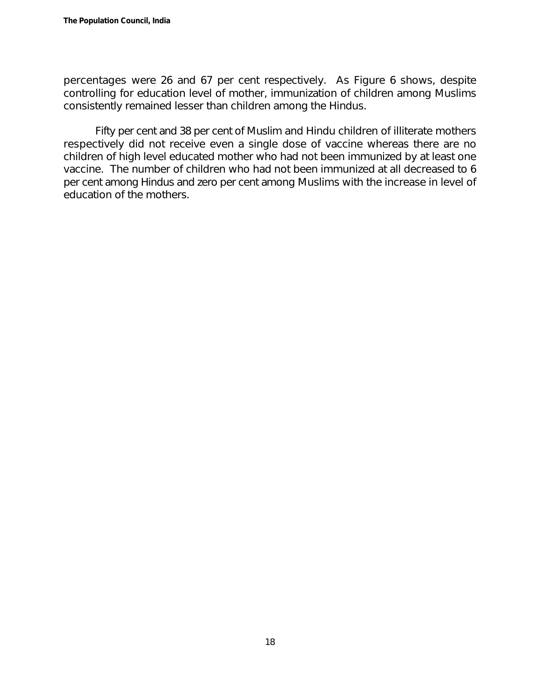percentages were 26 and 67 per cent respectively. As Figure 6 shows, despite controlling for education level of mother, immunization of children among Muslims consistently remained lesser than children among the Hindus.

Fifty per cent and 38 per cent of Muslim and Hindu children of illiterate mothers respectively did not receive even a single dose of vaccine whereas there are no children of high level educated mother who had not been immunized by at least one vaccine. The number of children who had not been immunized at all decreased to 6 per cent among Hindus and zero per cent among Muslims with the increase in level of education of the mothers.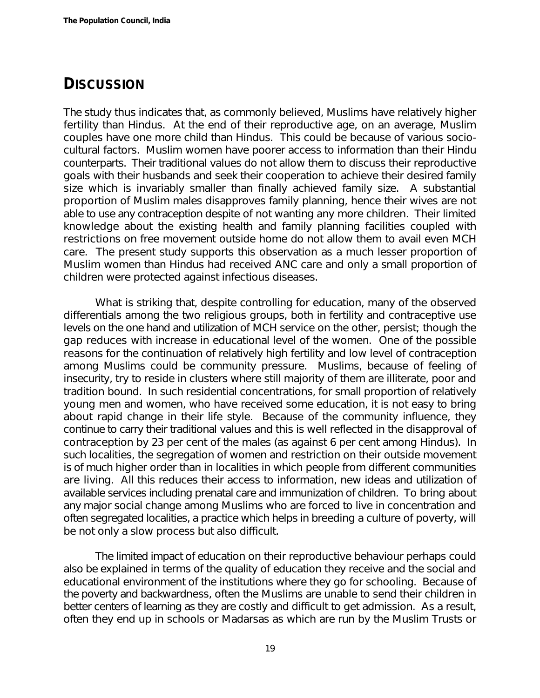# **DISCUSSION**

The study thus indicates that, as commonly believed, Muslims have relatively higher fertility than Hindus. At the end of their reproductive age, on an average, Muslim couples have one more child than Hindus. This could be because of various sociocultural factors. Muslim women have poorer access to information than their Hindu counterparts. Their traditional values do not allow them to discuss their reproductive goals with their husbands and seek their cooperation to achieve their desired family size which is invariably smaller than finally achieved family size. A substantial proportion of Muslim males disapproves family planning, hence their wives are not able to use any contraception despite of not wanting any more children. Their limited knowledge about the existing health and family planning facilities coupled with restrictions on free movement outside home do not allow them to avail even MCH care. The present study supports this observation as a much lesser proportion of Muslim women than Hindus had received ANC care and only a small proportion of children were protected against infectious diseases.

What is striking that, despite controlling for education, many of the observed differentials among the two religious groups, both in fertility and contraceptive use levels on the one hand and utilization of MCH service on the other, persist; though the gap reduces with increase in educational level of the women. One of the possible reasons for the continuation of relatively high fertility and low level of contraception among Muslims could be community pressure. Muslims, because of feeling of insecurity, try to reside in clusters where still majority of them are illiterate, poor and tradition bound. In such residential concentrations, for small proportion of relatively young men and women, who have received some education, it is not easy to bring about rapid change in their life style. Because of the community influence, they continue to carry their traditional values and this is well reflected in the disapproval of contraception by 23 per cent of the males (as against 6 per cent among Hindus). In such localities, the segregation of women and restriction on their outside movement is of much higher order than in localities in which people from different communities are living. All this reduces their access to information, new ideas and utilization of available services including prenatal care and immunization of children. To bring about any major social change among Muslims who are forced to live in concentration and often segregated localities, a practice which helps in breeding a culture of poverty, will be not only a slow process but also difficult.

The limited impact of education on their reproductive behaviour perhaps could also be explained in terms of the quality of education they receive and the social and educational environment of the institutions where they go for schooling. Because of the poverty and backwardness, often the Muslims are unable to send their children in better centers of learning as they are costly and difficult to get admission. As a result, often they end up in schools or Madarsas as which are run by the Muslim Trusts or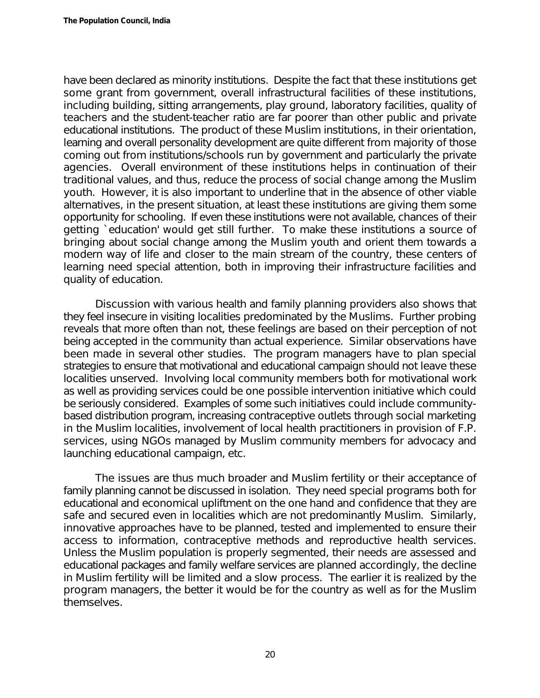have been declared as minority institutions. Despite the fact that these institutions get some grant from government, overall infrastructural facilities of these institutions, including building, sitting arrangements, play ground, laboratory facilities, quality of teachers and the student-teacher ratio are far poorer than other public and private educational institutions. The product of these Muslim institutions, in their orientation, learning and overall personality development are quite different from majority of those coming out from institutions/schools run by government and particularly the private agencies. Overall environment of these institutions helps in continuation of their traditional values, and thus, reduce the process of social change among the Muslim youth. However, it is also important to underline that in the absence of other viable alternatives, in the present situation, at least these institutions are giving them some opportunity for schooling. If even these institutions were not available, chances of their getting `education' would get still further. To make these institutions a source of bringing about social change among the Muslim youth and orient them towards a modern way of life and closer to the main stream of the country, these centers of learning need special attention, both in improving their infrastructure facilities and quality of education.

Discussion with various health and family planning providers also shows that they feel insecure in visiting localities predominated by the Muslims. Further probing reveals that more often than not, these feelings are based on their perception of not being accepted in the community than actual experience. Similar observations have been made in several other studies. The program managers have to plan special strategies to ensure that motivational and educational campaign should not leave these localities unserved. Involving local community members both for motivational work as well as providing services could be one possible intervention initiative which could be seriously considered. Examples of some such initiatives could include communitybased distribution program, increasing contraceptive outlets through social marketing in the Muslim localities, involvement of local health practitioners in provision of F.P. services, using NGOs managed by Muslim community members for advocacy and launching educational campaign, etc.

The issues are thus much broader and Muslim fertility or their acceptance of family planning cannot be discussed in isolation. They need special programs both for educational and economical upliftment on the one hand and confidence that they are safe and secured even in localities which are not predominantly Muslim. Similarly, innovative approaches have to be planned, tested and implemented to ensure their access to information, contraceptive methods and reproductive health services. Unless the Muslim population is properly segmented, their needs are assessed and educational packages and family welfare services are planned accordingly, the decline in Muslim fertility will be limited and a slow process. The earlier it is realized by the program managers, the better it would be for the country as well as for the Muslim themselves.